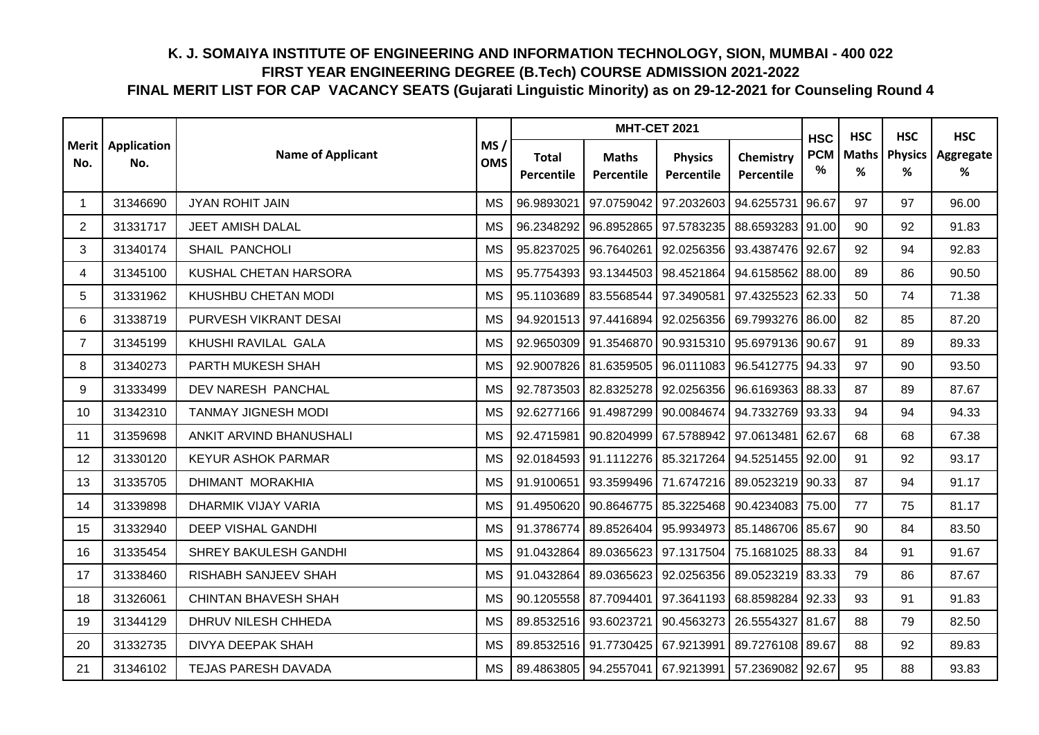|                |                                   |                             |                   |                            | <b>MHT-CET 2021</b>        |                                        |                         | <b>HSC</b>      | <b>HSC</b>        | <b>HSC</b>          | <b>HSC</b>     |
|----------------|-----------------------------------|-----------------------------|-------------------|----------------------------|----------------------------|----------------------------------------|-------------------------|-----------------|-------------------|---------------------|----------------|
| No.            | <b>Merit</b>   Application<br>No. | <b>Name of Applicant</b>    | MS/<br><b>OMS</b> | <b>Total</b><br>Percentile | <b>Maths</b><br>Percentile | <b>Physics</b><br>Percentile           | Chemistry<br>Percentile | <b>PCM</b><br>% | <b>Maths</b><br>% | <b>Physics</b><br>℅ | Aggregate<br>% |
| 1              | 31346690                          | <b>JYAN ROHIT JAIN</b>      | <b>MS</b>         | 96.9893021                 | 97.0759042                 | 97.2032603                             | 94.6255731              | 96.67           | 97                | 97                  | 96.00          |
| $\overline{2}$ | 31331717                          | <b>JEET AMISH DALAL</b>     | <b>MS</b>         | 96.2348292                 | 96.8952865                 | 97.5783235                             | 88.6593283 91.00        |                 | 90                | 92                  | 91.83          |
| 3              | 31340174                          | SHAIL PANCHOLI              | <b>MS</b>         | 95.8237025                 | 96.7640261                 | 92.0256356                             | 93.4387476 92.67        |                 | 92                | 94                  | 92.83          |
| 4              | 31345100                          | KUSHAL CHETAN HARSORA       | <b>MS</b>         | 95.7754393                 | 93.1344503                 | 98.4521864                             | 94.6158562 88.00        |                 | 89                | 86                  | 90.50          |
| 5              | 31331962                          | KHUSHBU CHETAN MODI         | <b>MS</b>         | 95.1103689                 | 83.5568544                 | 97.3490581                             | 97.4325523              | 62.33           | 50                | 74                  | 71.38          |
| 6              | 31338719                          | PURVESH VIKRANT DESAI       | <b>MS</b>         | 94.9201513                 | 97.4416894                 | 92.0256356                             | 69.7993276              | 86.00           | 82                | 85                  | 87.20          |
| $\overline{7}$ | 31345199                          | KHUSHI RAVILAL GALA         | <b>MS</b>         | 92.9650309                 | 91.3546870                 | 90.9315310                             | 95.6979136              | 90.67           | 91                | 89                  | 89.33          |
| 8              | 31340273                          | PARTH MUKESH SHAH           | <b>MS</b>         | 92.9007826                 |                            | 81.6359505 96.0111083 96.5412775 94.33 |                         |                 | 97                | 90                  | 93.50          |
| 9              | 31333499                          | DEV NARESH PANCHAL          | MS                | 92.7873503                 |                            | 82.8325278 92.0256356                  | 96.6169363 88.33        |                 | 87                | 89                  | 87.67          |
| 10             | 31342310                          | <b>TANMAY JIGNESH MODI</b>  | MS                | 92.6277166                 |                            | 91.4987299 90.0084674 94.7332769 93.33 |                         |                 | 94                | 94                  | 94.33          |
| 11             | 31359698                          | ANKIT ARVIND BHANUSHALI     | MS                | 92.4715981                 | 90.8204999 67.5788942      |                                        | 97.0613481              | 62.67           | 68                | 68                  | 67.38          |
| 12             | 31330120                          | <b>KEYUR ASHOK PARMAR</b>   | <b>MS</b>         | 92.0184593                 | 91.1112276 85.3217264      |                                        | 94.5251455 92.00        |                 | 91                | 92                  | 93.17          |
| 13             | 31335705                          | DHIMANT MORAKHIA            | <b>MS</b>         | 91.9100651                 | 93.3599496                 | 71.6747216                             | 89.0523219 90.33        |                 | 87                | 94                  | 91.17          |
| 14             | 31339898                          | DHARMIK VIJAY VARIA         | <b>MS</b>         | 91.4950620                 | 90.8646775                 | 85.3225468                             | 90.4234083              | 75.00           | 77                | 75                  | 81.17          |
| 15             | 31332940                          | <b>DEEP VISHAL GANDHI</b>   | <b>MS</b>         | 91.3786774                 | 89.8526404                 | 95.9934973                             | 85.1486706              | 85.67           | 90                | 84                  | 83.50          |
| 16             | 31335454                          | SHREY BAKULESH GANDHI       | <b>MS</b>         | 91.0432864                 | 89.0365623                 | 97.1317504                             | 75.1681025              | 88.33           | 84                | 91                  | 91.67          |
| 17             | 31338460                          | RISHABH SANJEEV SHAH        | <b>MS</b>         | 91.0432864                 |                            | 89.0365623 92.0256356                  | 89.0523219 83.33        |                 | 79                | 86                  | 87.67          |
| 18             | 31326061                          | <b>CHINTAN BHAVESH SHAH</b> | <b>MS</b>         | 90.1205558                 | 87.7094401                 | 97.3641193                             | 68.8598284 92.33        |                 | 93                | 91                  | 91.83          |
| 19             | 31344129                          | DHRUV NILESH CHHEDA         | <b>MS</b>         | 89.8532516                 | 93.6023721                 | 90.4563273                             | 26.5554327 81.67        |                 | 88                | 79                  | 82.50          |
| 20             | 31332735                          | DIVYA DEEPAK SHAH           | <b>MS</b>         | 89.8532516                 | 91.7730425                 | 67.9213991                             | 89.7276108 89.67        |                 | 88                | 92                  | 89.83          |
| 21             | 31346102                          | <b>TEJAS PARESH DAVADA</b>  | <b>MS</b>         | 89.4863805                 | 94.2557041 67.9213991      |                                        | 57.2369082              | 92.67           | 95                | 88                  | 93.83          |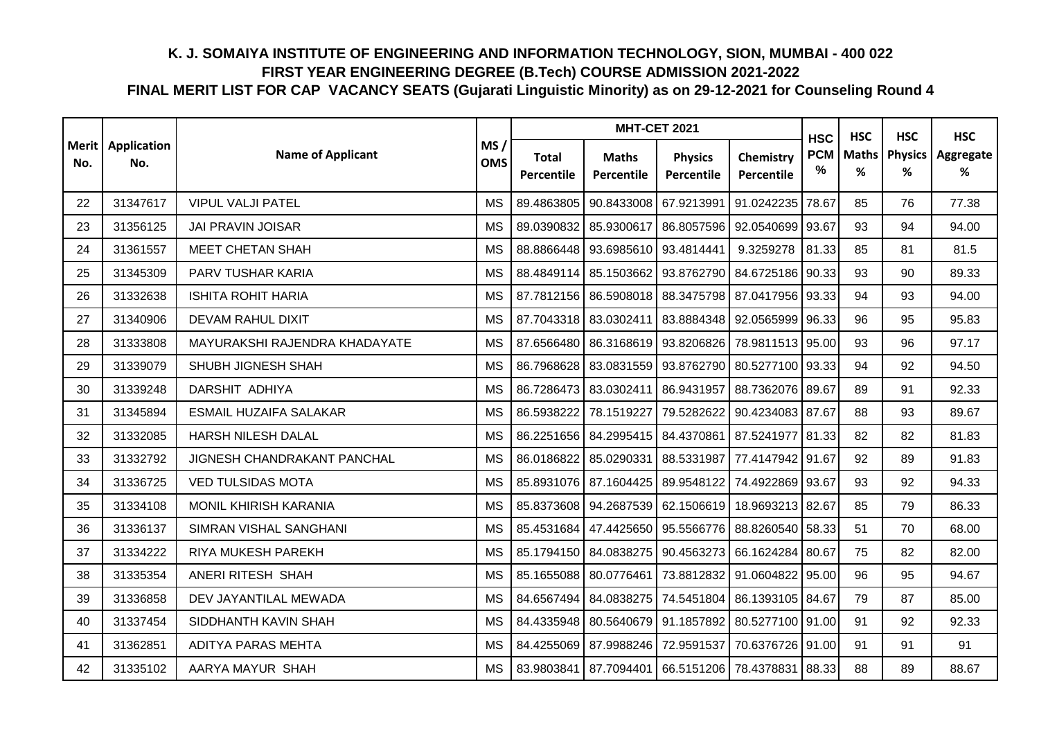|     |                                   |                               |                   |                            | <b>MHT-CET 2021</b>        |                                                           | <b>HSC</b>              | <b>HSC</b>      | <b>HSC</b>        | <b>HSC</b>          |                |
|-----|-----------------------------------|-------------------------------|-------------------|----------------------------|----------------------------|-----------------------------------------------------------|-------------------------|-----------------|-------------------|---------------------|----------------|
| No. | <b>Merit</b>   Application<br>No. | <b>Name of Applicant</b>      | MS/<br><b>OMS</b> | <b>Total</b><br>Percentile | <b>Maths</b><br>Percentile | <b>Physics</b><br>Percentile                              | Chemistry<br>Percentile | <b>PCM</b><br>% | <b>Maths</b><br>℅ | <b>Physics</b><br>% | Aggregate<br>% |
| 22  | 31347617                          | <b>VIPUL VALJI PATEL</b>      | <b>MS</b>         | 89.4863805                 | 90.8433008                 | 67.9213991                                                | 91.0242235              | 78.67           | 85                | 76                  | 77.38          |
| 23  | 31356125                          | <b>JAI PRAVIN JOISAR</b>      | <b>MS</b>         | 89.0390832                 | 85.9300617                 | 86.8057596                                                | 92.0540699              | 93.67           | 93                | 94                  | 94.00          |
| 24  | 31361557                          | <b>MEET CHETAN SHAH</b>       | <b>MS</b>         | 88.8866448                 | 93.6985610                 | 93.4814441                                                | 9.3259278               | 81.33           | 85                | 81                  | 81.5           |
| 25  | 31345309                          | PARV TUSHAR KARIA             | <b>MS</b>         | 88.4849114                 | 85.1503662                 | 93.8762790                                                | 84.6725186              | 90.33           | 93                | 90                  | 89.33          |
| 26  | 31332638                          | <b>ISHITA ROHIT HARIA</b>     | <b>MS</b>         | 87.7812156                 | 86.5908018                 | 88.3475798                                                | 87.0417956              | 93.33           | 94                | 93                  | 94.00          |
| 27  | 31340906                          | <b>DEVAM RAHUL DIXIT</b>      | <b>MS</b>         | 87.7043318                 | 83.0302411                 | 83.8884348                                                | 92.0565999              | 96.33           | 96                | 95                  | 95.83          |
| 28  | 31333808                          | MAYURAKSHI RAJENDRA KHADAYATE | <b>MS</b>         | 87.6566480                 | 86.3168619                 | 93.8206826                                                | 78.9811513 95.00        |                 | 93                | 96                  | 97.17          |
| 29  | 31339079                          | SHUBH JIGNESH SHAH            | <b>MS</b>         |                            |                            | 86.7968628 83.0831559 93.8762790 80.5277100 93.33         |                         |                 | 94                | 92                  | 94.50          |
| 30  | 31339248                          | DARSHIT ADHIYA                | MS                | 86.7286473 83.0302411      |                            | 86.9431957                                                | 88.7362076 89.67        |                 | 89                | 91                  | 92.33          |
| 31  | 31345894                          | <b>ESMAIL HUZAIFA SALAKAR</b> | <b>MS</b>         | 86.5938222                 | 78.1519227                 | 79.5282622                                                | 90.4234083 87.67        |                 | 88                | 93                  | 89.67          |
| 32  | 31332085                          | HARSH NILESH DALAL            | <b>MS</b>         | 86.2251656                 | 84.2995415                 | 84.4370861                                                | 87.5241977              | 81.33           | 82                | 82                  | 81.83          |
| 33  | 31332792                          | JIGNESH CHANDRAKANT PANCHAL   | <b>MS</b>         | 86.0186822                 | 85.0290331                 | 88.5331987                                                | 77.4147942 91.67        |                 | 92                | 89                  | 91.83          |
| 34  | 31336725                          | <b>VED TULSIDAS MOTA</b>      | <b>MS</b>         | 85.8931076 87.1604425      |                            | 89.9548122                                                | 74.4922869              | 93.67           | 93                | 92                  | 94.33          |
| 35  | 31334108                          | MONIL KHIRISH KARANIA         | <b>MS</b>         |                            | 85.8373608 94.2687539      | 62.1506619                                                | 18.9693213              | 82.67           | 85                | 79                  | 86.33          |
| 36  | 31336137                          | SIMRAN VISHAL SANGHANI        | <b>MS</b>         | 85.4531684                 | 47.4425650                 | 95.5566776                                                | 88.8260540              | 58.33           | 51                | 70                  | 68.00          |
| 37  | 31334222                          | RIYA MUKESH PAREKH            | <b>MS</b>         | 85.1794150                 | 84.0838275                 | 90.4563273                                                | 66.1624284              | 80.67           | 75                | 82                  | 82.00          |
| 38  | 31335354                          | ANERI RITESH SHAH             | <b>MS</b>         |                            | 85.1655088 80.0776461      | 73.8812832 91.0604822 95.00                               |                         |                 | 96                | 95                  | 94.67          |
| 39  | 31336858                          | DEV JAYANTILAL MEWADA         | <b>MS</b>         |                            |                            | 84.6567494 84.0838275 74.5451804 86.1393105 84.67         |                         |                 | 79                | 87                  | 85.00          |
| 40  | 31337454                          | SIDDHANTH KAVIN SHAH          | MS                |                            |                            | 84.4335948   80.5640679   91.1857892   80.5277100   91.00 |                         |                 | 91                | 92                  | 92.33          |
| 41  | 31362851                          | <b>ADITYA PARAS MEHTA</b>     | <b>MS</b>         | 84.4255069                 | 87.9988246                 | 72.9591537                                                | 70.6376726              | 91.00           | 91                | 91                  | 91             |
| 42  | 31335102                          | AARYA MAYUR SHAH              | <b>MS</b>         |                            |                            | 83.9803841   87.7094401   66.5151206   78.4378831         |                         | 88.33           | 88                | 89                  | 88.67          |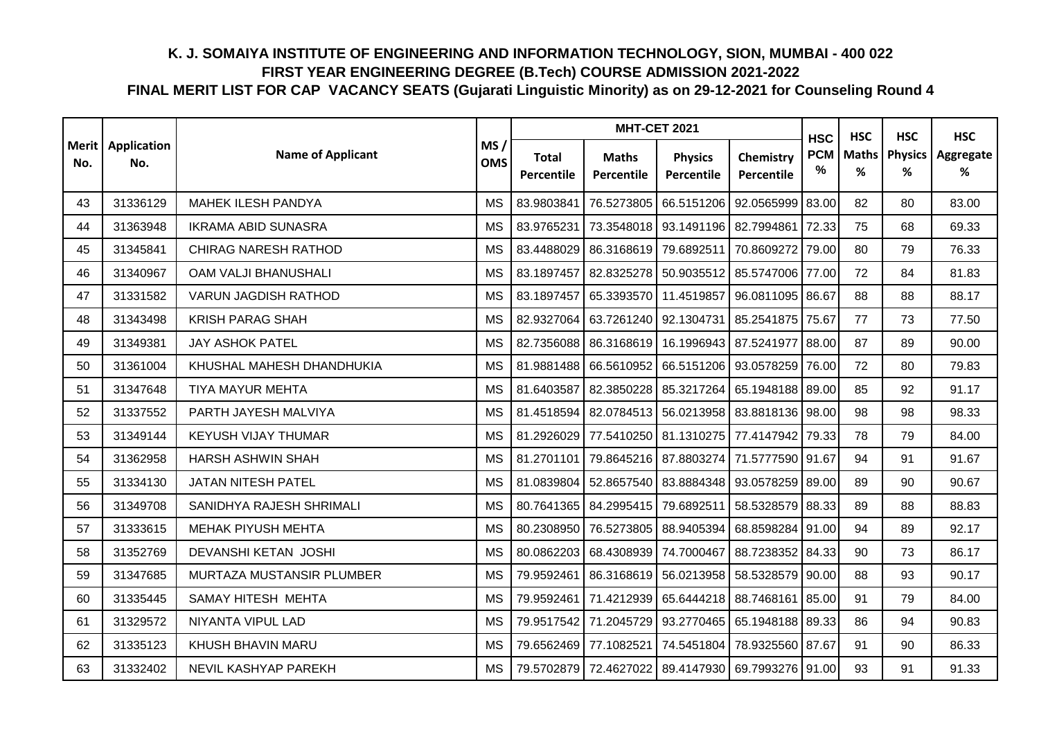|     |                                   |                             |                   |                            | <b>MHT-CET 2021</b>               |                                                   | <b>HSC</b>                     | <b>HSC</b>      | <b>HSC</b>        | <b>HSC</b>          |                |
|-----|-----------------------------------|-----------------------------|-------------------|----------------------------|-----------------------------------|---------------------------------------------------|--------------------------------|-----------------|-------------------|---------------------|----------------|
| No. | <b>Merit</b>   Application<br>No. | <b>Name of Applicant</b>    | MS/<br><b>OMS</b> | <b>Total</b><br>Percentile | <b>Maths</b><br><b>Percentile</b> | <b>Physics</b><br>Percentile                      | Chemistry<br><b>Percentile</b> | <b>PCM</b><br>% | <b>Maths</b><br>% | <b>Physics</b><br>% | Aggregate<br>% |
| 43  | 31336129                          | <b>MAHEK ILESH PANDYA</b>   | <b>MS</b>         | 83.9803841                 | 76.5273805                        | 66.5151206                                        | 92.0565999                     | 83.00           | 82                | 80                  | 83.00          |
| 44  | 31363948                          | <b>IKRAMA ABID SUNASRA</b>  | <b>MS</b>         | 83.9765231                 | 73.3548018                        | 93.1491196 82.7994861                             |                                | 72.33           | 75                | 68                  | 69.33          |
| 45  | 31345841                          | <b>CHIRAG NARESH RATHOD</b> | <b>MS</b>         | 83.4488029                 | 86.3168619 79.6892511             |                                                   | 70.8609272                     | 79.00           | 80                | 79                  | 76.33          |
| 46  | 31340967                          | OAM VALJI BHANUSHALI        | <b>MS</b>         | 83.1897457                 | 82.8325278                        | 50.9035512                                        | 85.5747006 77.00               |                 | 72                | 84                  | 81.83          |
| 47  | 31331582                          | <b>VARUN JAGDISH RATHOD</b> | <b>MS</b>         | 83.1897457                 | 65.3393570 11.4519857             |                                                   | 96.0811095                     | 86.67           | 88                | 88                  | 88.17          |
| 48  | 31343498                          | <b>KRISH PARAG SHAH</b>     | <b>MS</b>         | 82.9327064                 | 63.7261240                        | 92.1304731                                        | 85.2541875                     | 75.67           | 77                | 73                  | 77.50          |
| 49  | 31349381                          | <b>JAY ASHOK PATEL</b>      | <b>MS</b>         | 82.7356088                 |                                   | 86.3168619 16.1996943 87.5241977                  |                                | 88.00           | 87                | 89                  | 90.00          |
| 50  | 31361004                          | KHUSHAL MAHESH DHANDHUKIA   | <b>MS</b>         |                            |                                   | 81.9881488   66.5610952   66.5151206   93.0578259 |                                | 76.00           | 72                | 80                  | 79.83          |
| 51  | 31347648                          | <b>TIYA MAYUR MEHTA</b>     | <b>MS</b>         | 81.6403587                 | 82.3850228                        | 85.3217264 65.1948188 89.00                       |                                |                 | 85                | 92                  | 91.17          |
| 52  | 31337552                          | PARTH JAYESH MALVIYA        | <b>MS</b>         |                            |                                   | 81.4518594 82.0784513 56.0213958 83.8818136 98.00 |                                |                 | 98                | 98                  | 98.33          |
| 53  | 31349144                          | <b>KEYUSH VIJAY THUMAR</b>  | <b>MS</b>         | 81.2926029                 | 77.5410250                        | 81.1310275                                        | 77.4147942 79.33               |                 | 78                | 79                  | 84.00          |
| 54  | 31362958                          | HARSH ASHWIN SHAH           | <b>MS</b>         | 81.2701101                 |                                   | 79.8645216 87.8803274                             | 71.5777590 91.67               |                 | 94                | 91                  | 91.67          |
| 55  | 31334130                          | JATAN NITESH PATEL          | <b>MS</b>         | 81.0839804                 | 52.8657540                        | 83.8884348                                        | 93.0578259                     | 89.00           | 89                | 90                  | 90.67          |
| 56  | 31349708                          | SANIDHYA RAJESH SHRIMALI    | <b>MS</b>         |                            | 80.7641365 84.2995415             | 79.6892511                                        | 58.5328579                     | 88.33           | 89                | 88                  | 88.83          |
| 57  | 31333615                          | MEHAK PIYUSH MEHTA          | <b>MS</b>         | 80.2308950                 | 76.5273805                        | 88.9405394                                        | 68.8598284                     | 91.00           | 94                | 89                  | 92.17          |
| 58  | 31352769                          | DEVANSHI KETAN JOSHI        | <b>MS</b>         | 80.0862203                 | 68.4308939                        | 74.7000467                                        | 88.7238352                     | 84.33           | 90                | 73                  | 86.17          |
| 59  | 31347685                          | MURTAZA MUSTANSIR PLUMBER   | <b>MS</b>         | 79.9592461                 |                                   | 86.3168619 56.0213958 58.5328579                  |                                | 90.00           | 88                | 93                  | 90.17          |
| 60  | 31335445                          | SAMAY HITESH MEHTA          | <b>MS</b>         | 79.9592461                 | 71.4212939                        | 65.6444218 88.7468161                             |                                | 85.00           | 91                | 79                  | 84.00          |
| 61  | 31329572                          | NIYANTA VIPUL LAD           | <b>MS</b>         |                            |                                   | 79.9517542 71.2045729 93.2770465 65.1948188 89.33 |                                |                 | 86                | 94                  | 90.83          |
| 62  | 31335123                          | KHUSH BHAVIN MARU           | <b>MS</b>         | 79.6562469                 | 77.1082521                        | 74.5451804                                        | 78.9325560                     | 87.67           | 91                | 90                  | 86.33          |
| 63  | 31332402                          | NEVIL KASHYAP PAREKH        | <b>MS</b>         |                            |                                   | 79.5702879 72.4627022 89.4147930 69.7993276 91.00 |                                |                 | 93                | 91                  | 91.33          |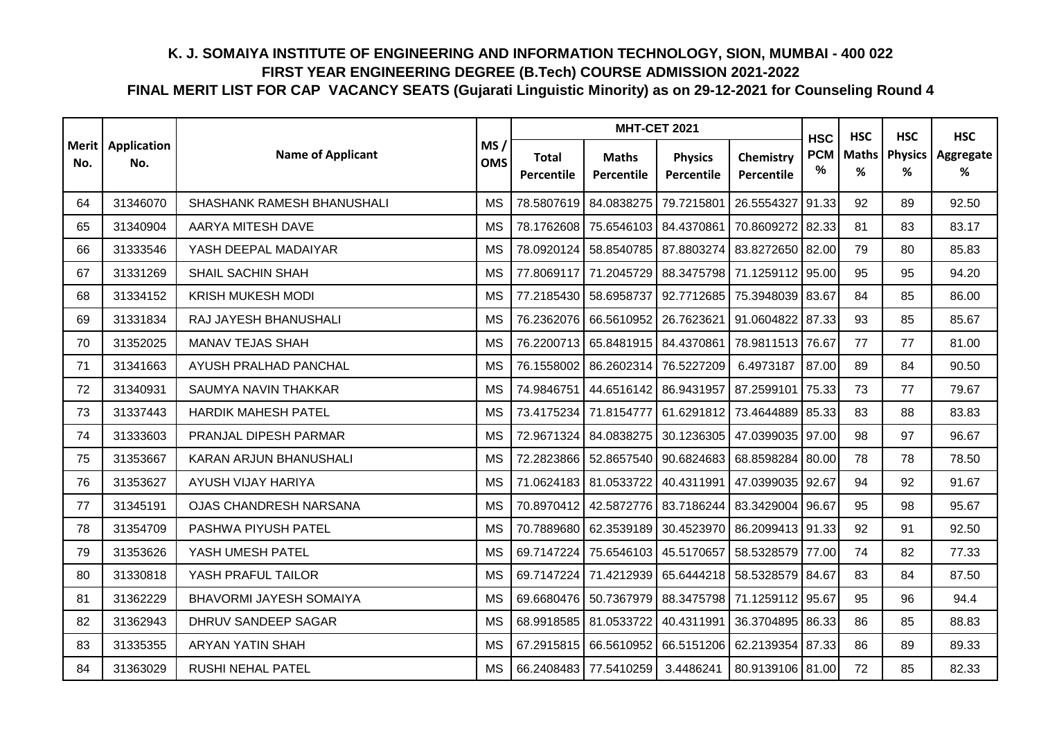|                |                    |                                |                   |                            | <b>MHT-CET 2021</b>        |                              |                         | <b>HSC</b>      | <b>HSC</b>        | <b>HSC</b>          | <b>HSC</b>     |
|----------------|--------------------|--------------------------------|-------------------|----------------------------|----------------------------|------------------------------|-------------------------|-----------------|-------------------|---------------------|----------------|
| Merit  <br>No. | Application<br>No. | <b>Name of Applicant</b>       | MS/<br><b>OMS</b> | <b>Total</b><br>Percentile | <b>Maths</b><br>Percentile | <b>Physics</b><br>Percentile | Chemistry<br>Percentile | <b>PCM</b><br>% | <b>Maths</b><br>% | <b>Physics</b><br>℅ | Aggregate<br>% |
| 64             | 31346070           | SHASHANK RAMESH BHANUSHALI     | <b>MS</b>         | 78.5807619                 | 84.0838275                 | 79.7215801                   | 26.5554327              | 91.33           | 92                | 89                  | 92.50          |
| 65             | 31340904           | AARYA MITESH DAVE              | <b>MS</b>         | 78.1762608                 | 75.6546103                 | 84.4370861                   | 70.8609272              | 82.33           | 81                | 83                  | 83.17          |
| 66             | 31333546           | YASH DEEPAL MADAIYAR           | <b>MS</b>         | 78.0920124                 | 58.8540785 87.8803274      |                              | 83.8272650 82.00        |                 | 79                | 80                  | 85.83          |
| 67             | 31331269           | <b>SHAIL SACHIN SHAH</b>       | <b>MS</b>         | 77.8069117                 | 71.2045729                 | 88.3475798                   | 71.1259112 95.00        |                 | 95                | 95                  | 94.20          |
| 68             | 31334152           | <b>KRISH MUKESH MODI</b>       | <b>MS</b>         | 77.2185430                 | 58.6958737                 | 92.7712685                   | 75.3948039              | 83.67           | 84                | 85                  | 86.00          |
| 69             | 31331834           | RAJ JAYESH BHANUSHALI          | <b>MS</b>         | 76.2362076                 | 66.5610952                 | 26.7623621                   | 91.0604822              | 87.33           | 93                | 85                  | 85.67          |
| 70             | 31352025           | MANAV TEJAS SHAH               | <b>MS</b>         | 76.2200713                 | 65.8481915 84.4370861      |                              | 78.9811513              | 76.67           | 77                | 77                  | 81.00          |
| 71             | 31341663           | AYUSH PRALHAD PANCHAL          | <b>MS</b>         | 76.1558002                 | 86.2602314                 | 76.5227209                   | 6.4973187               | 87.00           | 89                | 84                  | 90.50          |
| 72             | 31340931           | SAUMYA NAVIN THAKKAR           | MS                | 74.9846751                 | 44.6516142 86.9431957      |                              | 87.2599101              | 75.33           | 73                | 77                  | 79.67          |
| 73             | 31337443           | <b>HARDIK MAHESH PATEL</b>     | <b>MS</b>         | 73.4175234                 | 71.8154777                 | 61.6291812                   | 73.4644889 85.33        |                 | 83                | 88                  | 83.83          |
| 74             | 31333603           | PRANJAL DIPESH PARMAR          | MS                | 72.9671324                 | 84.0838275                 | 30.1236305                   | 47.0399035              | 97.00           | 98                | 97                  | 96.67          |
| 75             | 31353667           | KARAN ARJUN BHANUSHALI         | <b>MS</b>         | 72.2823866                 | 52.8657540 90.6824683      |                              | 68.8598284              | 80.00           | 78                | 78                  | 78.50          |
| 76             | 31353627           | AYUSH VIJAY HARIYA             | <b>MS</b>         | 71.0624183                 | 81.0533722                 | 40.4311991                   | 47.0399035              | 92.67           | 94                | 92                  | 91.67          |
| 77             | 31345191           | <b>OJAS CHANDRESH NARSANA</b>  | <b>MS</b>         | 70.8970412                 | 42.5872776                 | 83.7186244                   | 83.3429004              | 96.67           | 95                | 98                  | 95.67          |
| 78             | 31354709           | PASHWA PIYUSH PATEL            | <b>MS</b>         | 70.7889680                 | 62.3539189                 | 30.4523970                   | 86.2099413 91.33        |                 | 92                | 91                  | 92.50          |
| 79             | 31353626           | YASH UMESH PATEL               | <b>MS</b>         | 69.7147224                 | 75.6546103                 | 45.5170657                   | 58.5328579              | 77.00           | 74                | 82                  | 77.33          |
| 80             | 31330818           | YASH PRAFUL TAILOR             | <b>MS</b>         | 69.7147224                 | 71.4212939 65.6444218      |                              | 58.5328579 84.67        |                 | 83                | 84                  | 87.50          |
| 81             | 31362229           | <b>BHAVORMI JAYESH SOMAIYA</b> | <b>MS</b>         | 69.6680476                 | 50.7367979                 | 88.3475798                   | 71.1259112 95.67        |                 | 95                | 96                  | 94.4           |
| 82             | 31362943           | DHRUV SANDEEP SAGAR            | MS                | 68.9918585                 | 81.0533722                 | 40.4311991                   | 36.3704895 86.33        |                 | 86                | 85                  | 88.83          |
| 83             | 31335355           | ARYAN YATIN SHAH               | <b>MS</b>         | 67.2915815                 | 66.5610952                 | 66.5151206                   | 62.2139354 87.33        |                 | 86                | 89                  | 89.33          |
| 84             | 31363029           | RUSHI NEHAL PATEL              | <b>MS</b>         |                            | 66.2408483 77.5410259      | 3.4486241                    | 80.9139106 81.00        |                 | 72                | 85                  | 82.33          |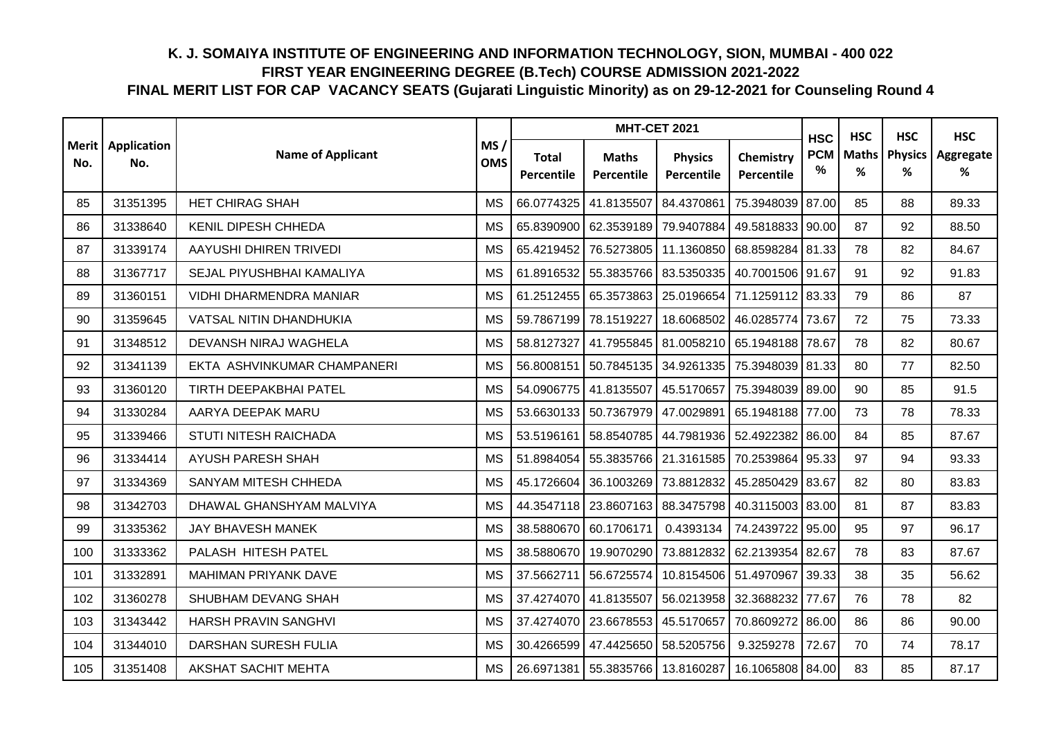|                     |                    |                                | <b>MHT-CET 2021</b> |                            | <b>HSC</b>                           | <b>HSC</b>                   | <b>HSC</b>              | <b>HSC</b>      |                   |                     |                |
|---------------------|--------------------|--------------------------------|---------------------|----------------------------|--------------------------------------|------------------------------|-------------------------|-----------------|-------------------|---------------------|----------------|
| <b>Merit</b><br>No. | Application<br>No. | <b>Name of Applicant</b>       | MS/<br><b>OMS</b>   | <b>Total</b><br>Percentile | <b>Maths</b><br>Percentile           | <b>Physics</b><br>Percentile | Chemistry<br>Percentile | <b>PCM</b><br>% | <b>Maths</b><br>% | <b>Physics</b><br>℅ | Aggregate<br>% |
| 85                  | 31351395           | <b>HET CHIRAG SHAH</b>         | <b>MS</b>           | 66.0774325                 | 41.8135507                           | 84.4370861                   | 75.3948039              | 87.00           | 85                | 88                  | 89.33          |
| 86                  | 31338640           | <b>KENIL DIPESH CHHEDA</b>     | <b>MS</b>           | 65.8390900                 | 62.3539189                           | 79.9407884                   | 49.5818833              | 90.00           | 87                | 92                  | 88.50          |
| 87                  | 31339174           | AAYUSHI DHIREN TRIVEDI         | <b>MS</b>           | 65.4219452                 | 76.5273805                           | 11.1360850                   | 68.8598284 81.33        |                 | 78                | 82                  | 84.67          |
| 88                  | 31367717           | SEJAL PIYUSHBHAI KAMALIYA      | <b>MS</b>           | 61.8916532                 | 55.3835766                           | 83.5350335                   | 40.7001506 91.67        |                 | 91                | 92                  | 91.83          |
| 89                  | 31360151           | <b>VIDHI DHARMENDRA MANIAR</b> | <b>MS</b>           | 61.2512455                 | 65.3573863                           | 25.0196654                   | 71.1259112 83.33        |                 | 79                | 86                  | 87             |
| 90                  | 31359645           | VATSAL NITIN DHANDHUKIA        | <b>MS</b>           | 59.7867199                 | 78.1519227                           | 18.6068502                   | 46.0285774              | 73.67           | 72                | 75                  | 73.33          |
| 91                  | 31348512           | DEVANSH NIRAJ WAGHELA          | <b>MS</b>           | 58.8127327                 | 41.7955845                           | 81.0058210                   | 65.1948188              | 78.67           | 78                | 82                  | 80.67          |
| 92                  | 31341139           | EKTA ASHVINKUMAR CHAMPANERI    | <b>MS</b>           | 56.8008151                 | 50.7845135 34.9261335                |                              | 75.3948039 81.33        |                 | 80                | 77                  | 82.50          |
| 93                  | 31360120           | <b>TIRTH DEEPAKBHAI PATEL</b>  | <b>MS</b>           | 54.0906775                 | 41.8135507                           | 45.5170657                   | 75.3948039 89.00        |                 | 90                | 85                  | 91.5           |
| 94                  | 31330284           | AARYA DEEPAK MARU              | MS                  | 53.6630133                 | 50.7367979 47.0029891                |                              | 65.1948188 77.00        |                 | 73                | 78                  | 78.33          |
| 95                  | 31339466           | STUTI NITESH RAICHADA          | <b>MS</b>           | 53.5196161                 | 58.8540785                           | 44.7981936                   | 52.4922382              | 86.00           | 84                | 85                  | 87.67          |
| 96                  | 31334414           | <b>AYUSH PARESH SHAH</b>       | <b>MS</b>           | 51.8984054                 |                                      | 55.3835766 21.3161585        | 70.2539864              | 95.33           | 97                | 94                  | 93.33          |
| 97                  | 31334369           | SANYAM MITESH CHHEDA           | <b>MS</b>           | 45.1726604                 | 36.1003269                           | 73.8812832                   | 45.2850429              | 83.67           | 82                | 80                  | 83.83          |
| 98                  | 31342703           | DHAWAL GHANSHYAM MALVIYA       | <b>MS</b>           | 44.3547118                 | 23.8607163                           | 88.3475798                   | 40.3115003 83.00        |                 | 81                | 87                  | 83.83          |
| 99                  | 31335362           | JAY BHAVESH MANEK              | <b>MS</b>           | 38.5880670                 | 60.1706171                           | 0.4393134                    | 74.2439722              | 95.00           | 95                | 97                  | 96.17          |
| 100                 | 31333362           | PALASH HITESH PATEL            | <b>MS</b>           | 38.5880670                 | 19.9070290                           | 73.8812832                   | 62.2139354              | 82.67           | 78                | 83                  | 87.67          |
| 101                 | 31332891           | <b>MAHIMAN PRIYANK DAVE</b>    | <b>MS</b>           | 37.5662711                 | 56.6725574                           | 10.8154506                   | 51.4970967              | 39.33           | 38                | 35                  | 56.62          |
| 102                 | 31360278           | SHUBHAM DEVANG SHAH            | <b>MS</b>           | 37.4274070                 | 41.8135507                           | 56.0213958                   | 32.3688232 77.67        |                 | 76                | 78                  | 82             |
| 103                 | 31343442           | HARSH PRAVIN SANGHVI           | MS                  | 37.4274070                 | 23.6678553 45.5170657                |                              | 70.8609272 86.00        |                 | 86                | 86                  | 90.00          |
| 104                 | 31344010           | <b>DARSHAN SURESH FULIA</b>    | <b>MS</b>           | 30.4266599                 | 47.4425650                           | 58.5205756                   | 9.3259278               | 72.67           | 70                | 74                  | 78.17          |
| 105                 | 31351408           | <b>AKSHAT SACHIT MEHTA</b>     | <b>MS</b>           |                            | 26.6971381   55.3835766   13.8160287 |                              | 16.1065808 84.00        |                 | 83                | 85                  | 87.17          |